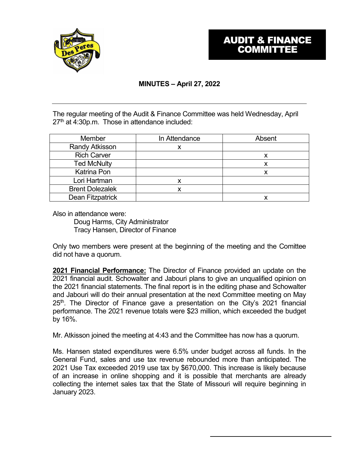

# **MINUTES – April 27, 2022**

The regular meeting of the Audit & Finance Committee was held Wednesday, April  $27<sup>th</sup>$  at 4:30p.m. Those in attendance included:

| <b>Member</b>          | In Attendance | Absent |
|------------------------|---------------|--------|
| <b>Randy Atkisson</b>  |               |        |
| <b>Rich Carver</b>     |               |        |
| <b>Ted McNulty</b>     |               | х      |
| <b>Katrina Pon</b>     |               | Х      |
| Lori Hartman           |               |        |
| <b>Brent Dolezalek</b> |               |        |
| Dean Fitzpatrick       |               |        |

Also in attendance were:

Doug Harms, City Administrator Tracy Hansen, Director of Finance

Only two members were present at the beginning of the meeting and the Comittee did not have a quorum.

**2021 Financial Performance:** The Director of Finance provided an update on the 2021 financial audit. Schowalter and Jabouri plans to give an unqualified opinion on the 2021 financial statements. The final report is in the editing phase and Schowalter and Jabouri will do their annual presentation at the next Committee meeting on May  $25<sup>th</sup>$ . The Director of Finance gave a presentation on the City's 2021 financial performance. The 2021 revenue totals were \$23 million, which exceeded the budget by 16%.

Mr. Atkisson joined the meeting at 4:43 and the Committee has now has a quorum.

Ms. Hansen stated expenditures were 6.5% under budget across all funds. In the General Fund, sales and use tax revenue rebounded more than anticipated. The 2021 Use Tax exceeded 2019 use tax by \$670,000. This increase is likely because of an increase in online shopping and it is possible that merchants are already collecting the internet sales tax that the State of Missouri will require beginning in January 2023.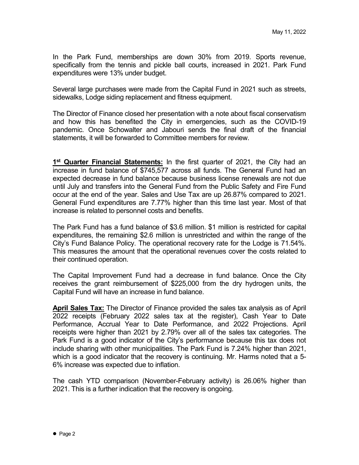In the Park Fund, memberships are down 30% from 2019. Sports revenue, specifically from the tennis and pickle ball courts, increased in 2021. Park Fund expenditures were 13% under budget.

Several large purchases were made from the Capital Fund in 2021 such as streets, sidewalks, Lodge siding replacement and fitness equipment.

The Director of Finance closed her presentation with a note about fiscal conservatism and how this has benefited the City in emergencies, such as the COVID-19 pandemic. Once Schowalter and Jabouri sends the final draft of the financial statements, it will be forwarded to Committee members for review.

**1st Quarter Financial Statements:** In the first quarter of 2021, the City had an increase in fund balance of \$745,577 across all funds. The General Fund had an expected decrease in fund balance because business license renewals are not due until July and transfers into the General Fund from the Public Safety and Fire Fund occur at the end of the year. Sales and Use Tax are up 26.87% compared to 2021. General Fund expenditures are 7.77% higher than this time last year. Most of that increase is related to personnel costs and benefits.

The Park Fund has a fund balance of \$3.6 million. \$1 million is restricted for capital expenditures, the remaining \$2.6 million is unrestricted and within the range of the City's Fund Balance Policy. The operational recovery rate for the Lodge is 71.54%. This measures the amount that the operational revenues cover the costs related to their continued operation.

The Capital Improvement Fund had a decrease in fund balance. Once the City receives the grant reimbursement of \$225,000 from the dry hydrogen units, the Capital Fund will have an increase in fund balance.

**April Sales Tax:** The Director of Finance provided the sales tax analysis as of April 2022 receipts (February 2022 sales tax at the register), Cash Year to Date Performance, Accrual Year to Date Performance, and 2022 Projections. April receipts were higher than 2021 by 2.79% over all of the sales tax categories. The Park Fund is a good indicator of the City's performance because this tax does not include sharing with other municipalities. The Park Fund is 7.24% higher than 2021, which is a good indicator that the recovery is continuing. Mr. Harms noted that a 5- 6% increase was expected due to inflation.

The cash YTD comparison (November-February activity) is 26.06% higher than 2021. This is a further indication that the recovery is ongoing.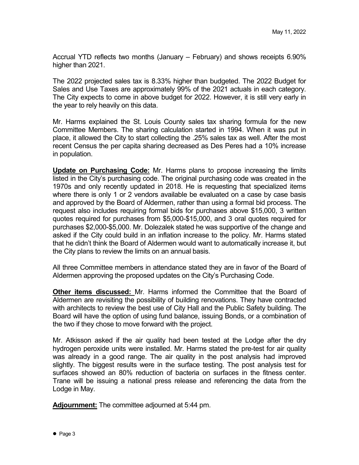Accrual YTD reflects two months (January – February) and shows receipts 6.90% higher than 2021.

The 2022 projected sales tax is 8.33% higher than budgeted. The 2022 Budget for Sales and Use Taxes are approximately 99% of the 2021 actuals in each category. The City expects to come in above budget for 2022. However, it is still very early in the year to rely heavily on this data.

Mr. Harms explained the St. Louis County sales tax sharing formula for the new Committee Members. The sharing calculation started in 1994. When it was put in place, it allowed the City to start collecting the .25% sales tax as well. After the most recent Census the per capita sharing decreased as Des Peres had a 10% increase in population.

**Update on Purchasing Code:** Mr. Harms plans to propose increasing the limits listed in the City's purchasing code. The original purchasing code was created in the 1970s and only recently updated in 2018. He is requesting that specialized items where there is only 1 or 2 vendors available be evaluated on a case by case basis and approved by the Board of Aldermen, rather than using a formal bid process. The request also includes requiring formal bids for purchases above \$15,000, 3 written quotes required for purchases from \$5,000-\$15,000, and 3 oral quotes required for purchases \$2,000-\$5,000. Mr. Dolezalek stated he was supportive of the change and asked if the City could build in an inflation increase to the policy. Mr. Harms stated that he didn't think the Board of Aldermen would want to automatically increase it, but the City plans to review the limits on an annual basis.

All three Committee members in attendance stated they are in favor of the Board of Aldermen approving the proposed updates on the City's Purchasing Code.

**Other items discussed:** Mr. Harms informed the Committee that the Board of Aldermen are revisiting the possibility of building renovations. They have contracted with architects to review the best use of City Hall and the Public Safety building. The Board will have the option of using fund balance, issuing Bonds, or a combination of the two if they chose to move forward with the project.

Mr. Atkisson asked if the air quality had been tested at the Lodge after the dry hydrogen peroxide units were installed. Mr. Harms stated the pre-test for air quality was already in a good range. The air quality in the post analysis had improved slightly. The biggest results were in the surface testing. The post analysis test for surfaces showed an 80% reduction of bacteria on surfaces in the fitness center. Trane will be issuing a national press release and referencing the data from the Lodge in May.

**Adjournment:** The committee adjourned at 5:44 pm.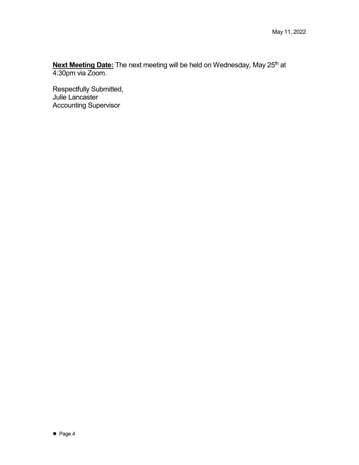**Next Meeting Date:** The next meeting will be held on Wednesday, May 25<sup>th</sup> at 4:30pm via Zoom.

Respectfully Submitted, Julie Lancaster Accounting Supervisor